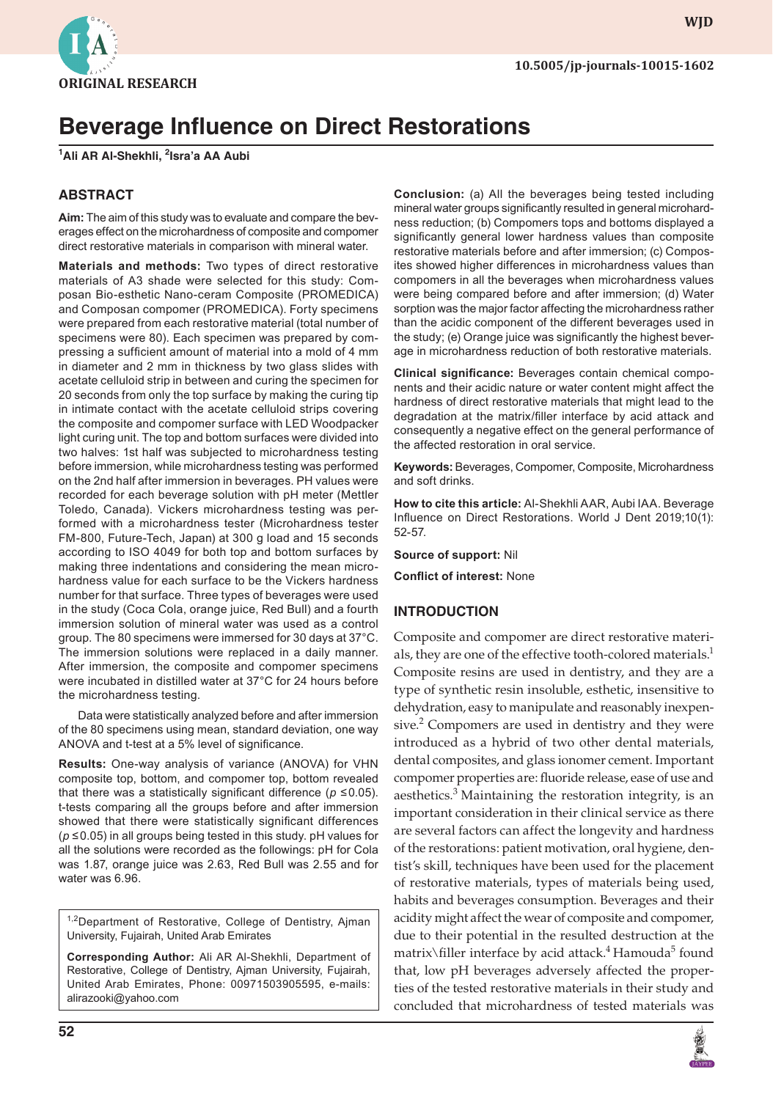**10.5005/jp-journals-10015-1602**



*Ali AR Al-Shekhli, Isra'a AA Aubi* **ORIGINAL RESEARCH**

# **Beverage Influence on Direct Restorations**

**1 Ali AR Al-Shekhli, <sup>2</sup> Isra'a AA Aubi**

### **ABSTRACT**

**Aim:** The aim of this study was to evaluate and compare the beverages effect on the microhardness of composite and compomer direct restorative materials in comparison with mineral water.

**Materials and methods:** Two types of direct restorative materials of A3 shade were selected for this study: Composan Bio-esthetic Nano-ceram Composite (PROMEDICA) and Composan compomer (PROMEDICA). Forty specimens were prepared from each restorative material (total number of specimens were 80). Each specimen was prepared by compressing a sufficient amount of material into a mold of 4 mm in diameter and 2 mm in thickness by two glass slides with acetate celluloid strip in between and curing the specimen for 20 seconds from only the top surface by making the curing tip in intimate contact with the acetate celluloid strips covering the composite and compomer surface with LED Woodpacker light curing unit. The top and bottom surfaces were divided into two halves: 1st half was subjected to microhardness testing before immersion, while microhardness testing was performed on the 2nd half after immersion in beverages. PH values were recorded for each beverage solution with pH meter (Mettler Toledo, Canada). Vickers microhardness testing was performed with a microhardness tester (Microhardness tester FM-800, Future-Tech, Japan) at 300 g load and 15 seconds according to ISO 4049 for both top and bottom surfaces by making three indentations and considering the mean microhardness value for each surface to be the Vickers hardness number for that surface. Three types of beverages were used in the study (Coca Cola, orange juice, Red Bull) and a fourth immersion solution of mineral water was used as a control group. The 80 specimens were immersed for 30 days at 37°C. The immersion solutions were replaced in a daily manner. After immersion, the composite and compomer specimens were incubated in distilled water at 37°C for 24 hours before the microhardness testing.

Data were statistically analyzed before and after immersion of the 80 specimens using mean, standard deviation, one way ANOVA and t-test at a 5% level of significance.

**Results:** One-way analysis of variance (ANOVA) for VHN composite top, bottom, and compomer top, bottom revealed that there was a statistically significant difference ( $p \le 0.05$ ). t-tests comparing all the groups before and after immersion showed that there were statistically significant differences (*p* ≤0.05) in all groups being tested in this study. pH values for all the solutions were recorded as the followings: pH for Cola was 1.87, orange juice was 2.63, Red Bull was 2.55 and for water was 6.96.

<sup>1,2</sup>Department of Restorative, College of Dentistry, Ajman University, Fujairah, United Arab Emirates

**Corresponding Author:** Ali AR Al-Shekhli, Department of Restorative, College of Dentistry, Ajman University, Fujairah, United Arab Emirates, Phone: 00971503905595, e-mails: alirazooki@yahoo.com

**Conclusion:** (a) All the beverages being tested including mineral water groups significantly resulted in general microhardness reduction; (b) Compomers tops and bottoms displayed a significantly general lower hardness values than composite restorative materials before and after immersion; (c) Composites showed higher differences in microhardness values than compomers in all the beverages when microhardness values were being compared before and after immersion; (d) Water sorption was the major factor affecting the microhardness rather than the acidic component of the different beverages used in the study; (e) Orange juice was significantly the highest beverage in microhardness reduction of both restorative materials.

**Clinical significance:** Beverages contain chemical components and their acidic nature or water content might affect the hardness of direct restorative materials that might lead to the degradation at the matrix/filler interface by acid attack and consequently a negative effect on the general performance of the affected restoration in oral service.

**Keywords:** Beverages, Compomer, Composite, Microhardness and soft drinks.

**How to cite this article:** Al-Shekhli AAR, Aubi IAA. Beverage Influence on Direct Restorations. World J Dent 2019;10(1): 52-57.

**Source of support:** Nil

**Conflict of interest:** None

#### **INTRODUCTION**

Composite and compomer are direct restorative materials, they are one of the effective tooth-colored materials.<sup>1</sup> Composite resins are used in dentistry, and they are a type of synthetic resin insoluble, esthetic, insensitive to dehydration, easy to manipulate and reasonably inexpensive.<sup>2</sup> Compomers are used in dentistry and they were introduced as a hybrid of two other dental materials, dental composites, and glass ionomer cement. Important compomer properties are: fluoride release, ease of use and aesthetics.<sup>3</sup> Maintaining the restoration integrity, is an important consideration in their clinical service as there are several factors can affect the longevity and hardness of the restorations: patient motivation, oral hygiene, dentist's skill, techniques have been used for the placement of restorative materials, types of materials being used, habits and beverages consumption. Beverages and their acidity might affect the wear of composite and compomer, due to their potential in the resulted destruction at the matrix\filler interface by acid attack.<sup>4</sup> Hamouda<sup>5</sup> found that, low pH beverages adversely affected the properties of the tested restorative materials in their study and concluded that microhardness of tested materials was

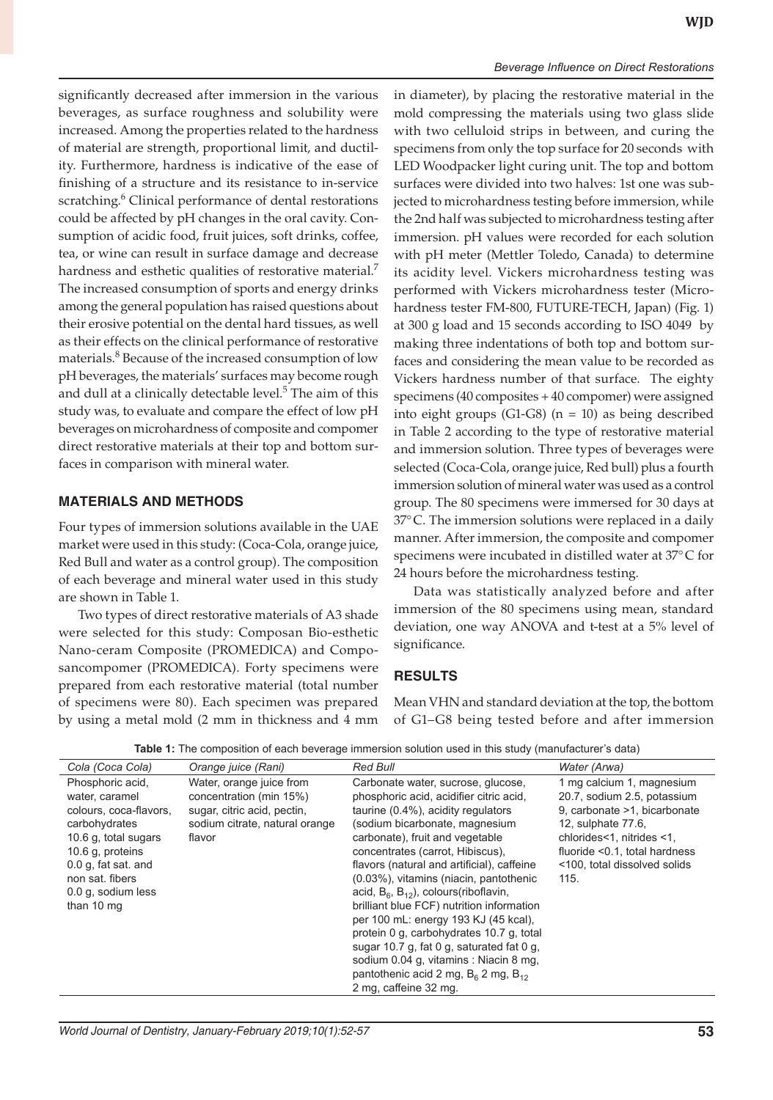significantly decreased after immersion in the various beverages, as surface roughness and solubility were increased. Among the properties related to the hardness of material are strength, proportional limit, and ductility. Furthermore, hardness is indicative of the ease of finishing of a structure and its resistance to in-service scratching.<sup>6</sup> Clinical performance of dental restorations could be affected by pH changes in the oral cavity. Consumption of acidic food, fruit juices, soft drinks, coffee, tea, or wine can result in surface damage and decrease hardness and esthetic qualities of restorative material.<sup>7</sup> The increased consumption of sports and energy drinks among the general population has raised questions about their erosive potential on the dental hard tissues, as well as their effects on the clinical performance of restorative materials.<sup>8</sup> Because of the increased consumption of low pH beverages, the materials' surfaces may become rough and dull at a clinically detectable level.<sup>5</sup> The aim of this study was, to evaluate and compare the effect of low pH beverages on microhardness of composite and compomer direct restorative materials at their top and bottom surfaces in comparison with mineral water.

#### **MATERIALS AND METHODS**

Four types of immersion solutions available in the UAE market were used in this study: (Coca-Cola, orange juice, Red Bull and water as a control group). The composition of each beverage and mineral water used in this study are shown in Table 1.

Two types of direct restorative materials of A3 shade were selected for this study: Composan Bio-esthetic Nano-ceram Composite (PROMEDICA) and Composancompomer (PROMEDICA). Forty specimens were prepared from each restorative material (total number of specimens were 80). Each specimen was prepared by using a metal mold (2 mm in thickness and 4 mm in diameter), by placing the restorative material in the mold compressing the materials using two glass slide with two celluloid strips in between, and curing the specimens from only the top surface for 20 seconds with LED Woodpacker light curing unit. The top and bottom surfaces were divided into two halves: 1st one was subjected to microhardness testing before immersion, while the 2nd half was subjected to microhardness testing after immersion. pH values were recorded for each solution with pH meter (Mettler Toledo, Canada) to determine its acidity level. Vickers microhardness testing was performed with Vickers microhardness tester (Microhardness tester FM-800, FUTURE-TECH, Japan) (Fig. 1) at 300 g load and 15 seconds according to ISO 4049 by making three indentations of both top and bottom surfaces and considering the mean value to be recorded as Vickers hardness number of that surface. The eighty specimens (40 composites + 40 compomer) were assigned into eight groups (G1-G8) ( $n = 10$ ) as being described in Table 2 according to the type of restorative material and immersion solution. Three types of beverages were selected (Coca-Cola, orange juice, Red bull) plus a fourth immersion solution of mineral water was used as a control group. The 80 specimens were immersed for 30 days at 37°C. The immersion solutions were replaced in a daily manner. After immersion, the composite and compomer specimens were incubated in distilled water at 37°C for 24 hours before the microhardness testing.

Data was statistically analyzed before and after immersion of the 80 specimens using mean, standard deviation, one way ANOVA and t-test at a 5% level of significance.

# **RESULTS**

Mean VHN and standard deviation at the top, the bottom of G1–G8 being tested before and after immersion

| Cola (Coca Cola)                                                                                                                                                                                          | Orange juice (Rani)                                                                                                            | Red Bull                                                                                                                                                                                                                                                                                                                                                                                                                                                                                                                                                                                                                                                               | Water (Arwa)                                                                                                                                                                                                         |
|-----------------------------------------------------------------------------------------------------------------------------------------------------------------------------------------------------------|--------------------------------------------------------------------------------------------------------------------------------|------------------------------------------------------------------------------------------------------------------------------------------------------------------------------------------------------------------------------------------------------------------------------------------------------------------------------------------------------------------------------------------------------------------------------------------------------------------------------------------------------------------------------------------------------------------------------------------------------------------------------------------------------------------------|----------------------------------------------------------------------------------------------------------------------------------------------------------------------------------------------------------------------|
| Phosphoric acid.<br>water, caramel<br>colours, coca-flavors,<br>carbohydrates<br>10.6 g. total sugars<br>10.6 g. proteins<br>$0.0$ g, fat sat, and<br>non sat. fibers<br>0.0 g, sodium less<br>than 10 mg | Water, orange juice from<br>concentration (min 15%)<br>sugar, citric acid, pectin,<br>sodium citrate, natural orange<br>flavor | Carbonate water, sucrose, glucose,<br>phosphoric acid, acidifier citric acid,<br>taurine (0.4%), acidity regulators<br>(sodium bicarbonate, magnesium<br>carbonate), fruit and vegetable<br>concentrates (carrot, Hibiscus).<br>flavors (natural and artificial), caffeine<br>(0.03%), vitamins (niacin, pantothenic<br>acid, $B_6$ , $B_{12}$ ), colours (riboflavin,<br>brilliant blue FCF) nutrition information<br>per 100 mL: energy 193 KJ (45 kcal).<br>protein 0 g, carbohydrates 10.7 g, total<br>sugar 10.7 g, fat 0 g, saturated fat 0 g,<br>sodium 0.04 g, vitamins : Niacin 8 mg,<br>pantothenic acid 2 mg, $B_6$ 2 mg, $B_{12}$<br>2 mg, caffeine 32 mg. | 1 mg calcium 1, magnesium<br>20.7, sodium 2.5, potassium<br>9. carbonate >1, bicarbonate<br>12, sulphate 77.6,<br>chlorides<1, nitrides <1,<br>fluoride <0.1, total hardness<br><100, total dissolved solids<br>115. |

**Table 1:** The composition of each beverage immersion solution used in this study (manufacturer's data)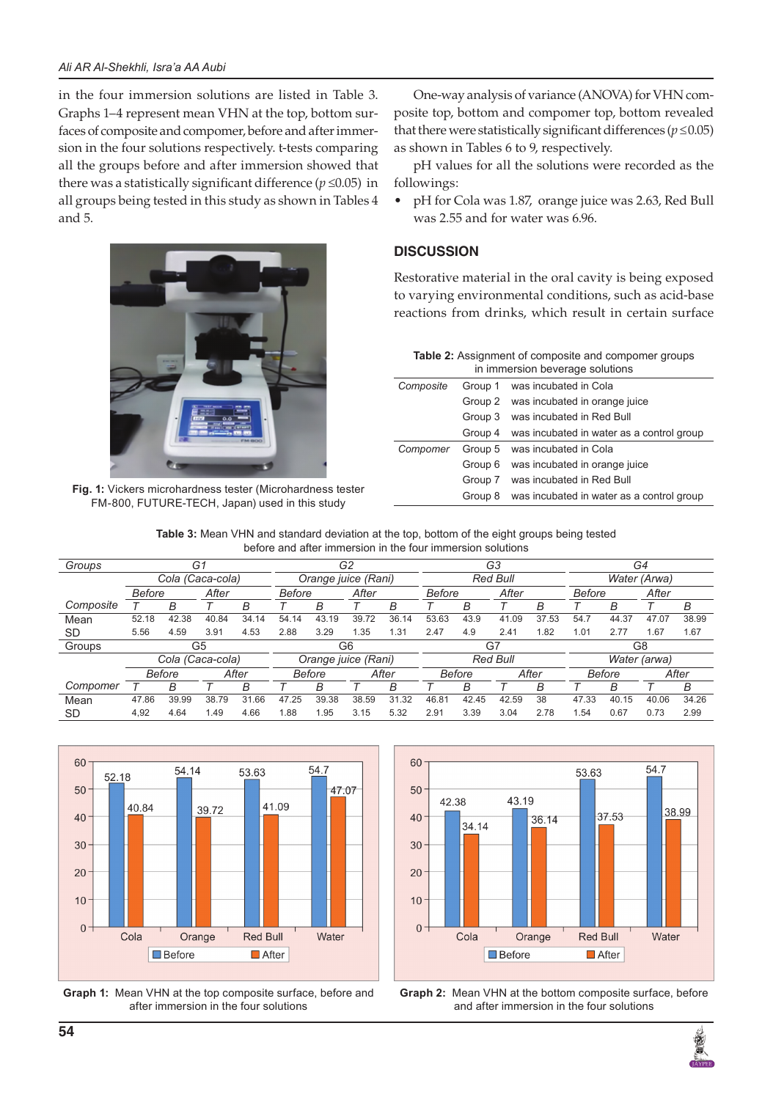in the four immersion solutions are listed in Table 3. Graphs 1–4 represent mean VHN at the top, bottom surfaces of composite and compomer, before and after immersion in the four solutions respectively. t-tests comparing all the groups before and after immersion showed that there was a statistically significant difference ( $p \le 0.05$ ) in all groups being tested in this study as shown in Tables 4 and 5.



**Fig. 1:** Vickers microhardness tester (Microhardness tester FM-800, FUTURE-TECH, Japan) used in this study

One-way analysis of variance (ANOVA) for VHN composite top, bottom and compomer top, bottom revealed that there were statistically significant differences ( $p \le 0.05$ ) as shown in Tables 6 to 9, respectively.

pH values for all the solutions were recorded as the followings:

• pH for Cola was 1.87, orange juice was 2.63, Red Bull was 2.55 and for water was 6.96.

# **DISCUSSION**

Restorative material in the oral cavity is being exposed to varying environmental conditions, such as acid-base reactions from drinks, which result in certain surface

| <b>Table 2:</b> Assignment of composite and compomer groups |
|-------------------------------------------------------------|
| in immersion beverage solutions                             |

| Composite | Group 1 | was incubated in Cola                     |
|-----------|---------|-------------------------------------------|
|           | Group 2 | was incubated in orange juice             |
|           | Group 3 | was incubated in Red Bull                 |
|           | Group 4 | was incubated in water as a control group |
| Compomer  | Group 5 | was incubated in Cola                     |
|           | Group 6 | was incubated in orange juice             |
|           | Group 7 | was incubated in Red Bull                 |
|           | Group 8 | was incubated in water as a control group |

**Table 3:** Mean VHN and standard deviation at the top, bottom of the eight groups being tested before and after immersion in the four immersion solutions

| Groups    |        |               | G1               |       |                     | G2                  |       |                 | G3              |       |               | G4    |               |       |       |       |
|-----------|--------|---------------|------------------|-------|---------------------|---------------------|-------|-----------------|-----------------|-------|---------------|-------|---------------|-------|-------|-------|
|           |        |               | Cola (Caca-cola) |       | Orange juice (Rani) |                     |       | Red Bull        |                 |       | Water (Arwa)  |       |               |       |       |       |
|           | Before |               | After            |       | <b>Before</b>       |                     | After |                 | Before          |       | After         |       | <b>Before</b> |       | After |       |
| Composite |        | в             |                  | В     |                     | В                   |       | В               |                 | В     |               | B     |               | B     |       | В     |
| Mean      | 52.18  | 42.38         | 40.84            | 34.14 | 54.14               | 43.19               | 39.72 | 36.14           | 53.63           | 43.9  | 41.09         | 37.53 | 54.7          | 44.37 | 47.07 | 38.99 |
| <b>SD</b> | 5.56   | 4.59          | 3.91             | 4.53  | 2.88                | 3.29                | 1.35  | 1.31            | 2.47            | 4.9   | 2.41          | 1.82  | 1.01          | 2.77  | .67   | 1.67  |
| Groups    |        |               | G5               |       |                     |                     | G6    |                 |                 |       | G7            |       |               |       | G8    |       |
|           |        |               | Cola (Caca-cola) |       |                     | Orange juice (Rani) |       | <b>Red Bull</b> |                 |       | Water (arwa)  |       |               |       |       |       |
|           |        | <b>Before</b> |                  | After |                     | Before              | After |                 | After<br>Before |       | <b>Before</b> |       |               | After |       |       |
| Compomer  |        | в             |                  | В     |                     | в                   |       | В               |                 | B     |               | B     |               | B     |       | В     |
| Mean      | 47.86  | 39.99         | 38.79            | 31.66 | 47.25               | 39.38               | 38.59 | 31.32           | 46.81           | 42.45 | 42.59         | 38    | 47.33         | 40.15 | 40.06 | 34.26 |
| <b>SD</b> | 4,92   | 4.64          | 1.49             | 4.66  | 1.88                | 1.95                | 3.15  | 5.32            | 2.91            | 3.39  | 3.04          | 2.78  | 1.54          | 0.67  | 0.73  | 2.99  |



**Graph 1:** Mean VHN at the top composite surface, before and after immersion in the four solutions





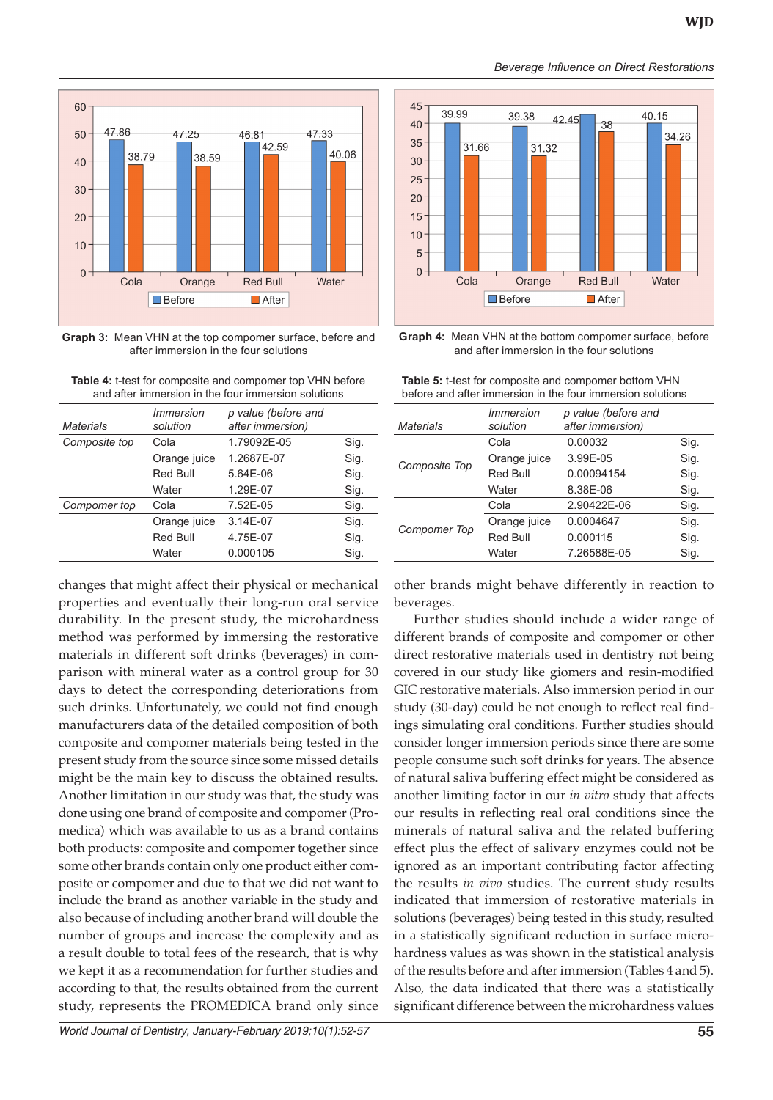

**Graph 3:** Mean VHN at the top compomer surface, before and after immersion in the four solutions

**Table 4:** t-test for composite and compomer top VHN before and after immersion in the four immersion solutions

| Materials     | <i>Immersion</i><br>solution | p value (before and<br>after immersion) |      |
|---------------|------------------------------|-----------------------------------------|------|
| Composite top | Cola                         | 1.79092E-05                             | Sig. |
|               | Orange juice                 | 1.2687E-07                              | Sig. |
|               | Red Bull                     | 5.64E-06                                | Sig. |
|               | Water                        | 1.29E-07                                | Sig. |
| Compomer top  | Cola                         | 7.52E-05                                | Sig. |
|               | Orange juice                 | 3.14E-07                                | Sig. |
|               | Red Bull                     | 4.75E-07                                | Sig. |
|               | Water                        | 0.000105                                | Sig. |
|               |                              |                                         |      |

changes that might affect their physical or mechanical properties and eventually their long-run oral service durability. In the present study, the microhardness method was performed by immersing the restorative materials in different soft drinks (beverages) in comparison with mineral water as a control group for 30 days to detect the corresponding deteriorations from such drinks. Unfortunately, we could not find enough manufacturers data of the detailed composition of both composite and compomer materials being tested in the present study from the source since some missed details might be the main key to discuss the obtained results. Another limitation in our study was that, the study was done using one brand of composite and compomer (Promedica) which was available to us as a brand contains both products: composite and compomer together since some other brands contain only one product either composite or compomer and due to that we did not want to include the brand as another variable in the study and also because of including another brand will double the number of groups and increase the complexity and as a result double to total fees of the research, that is why we kept it as a recommendation for further studies and according to that, the results obtained from the current study, represents the PROMEDICA brand only since

*World Journal of Dentistry, January-February 2019;10(1):52-57* **55**



*Beverage Influence on Direct Restorations*

**Graph 4:** Mean VHN at the bottom compomer surface, before and after immersion in the four solutions

**Table 5:** t-test for composite and compomer bottom VHN before and after immersion in the four immersion solutions

| <b>Materials</b>    | <i>Immersion</i><br>solution | p value (before and<br>after immersion) |      |
|---------------------|------------------------------|-----------------------------------------|------|
|                     | Cola                         | 0.00032                                 | Sig. |
| Composite Top       | Orange juice                 | 3.99E-05                                | Sig. |
|                     | Red Bull                     | 0.00094154                              | Sig. |
|                     | Water                        | 8.38E-06                                | Sig. |
|                     | Cola                         | 2.90422E-06                             | Sig. |
|                     | Orange juice                 | 0.0004647                               | Sig. |
| <b>Compomer Top</b> | Red Bull                     | 0.000115                                | Sig. |
|                     | Water                        | 7.26588E-05                             | Sig. |
|                     |                              |                                         |      |

other brands might behave differently in reaction to beverages.

Further studies should include a wider range of different brands of composite and compomer or other direct restorative materials used in dentistry not being covered in our study like giomers and resin-modified GIC restorative materials. Also immersion period in our study (30-day) could be not enough to reflect real findings simulating oral conditions. Further studies should consider longer immersion periods since there are some people consume such soft drinks for years. The absence of natural saliva buffering effect might be considered as another limiting factor in our *in vitro* study that affects our results in reflecting real oral conditions since the minerals of natural saliva and the related buffering effect plus the effect of salivary enzymes could not be ignored as an important contributing factor affecting the results *in vivo* studies. The current study results indicated that immersion of restorative materials in solutions (beverages) being tested in this study, resulted in a statistically significant reduction in surface microhardness values as was shown in the statistical analysis of the results before and after immersion (Tables 4 and 5). Also, the data indicated that there was a statistically significant difference between the microhardness values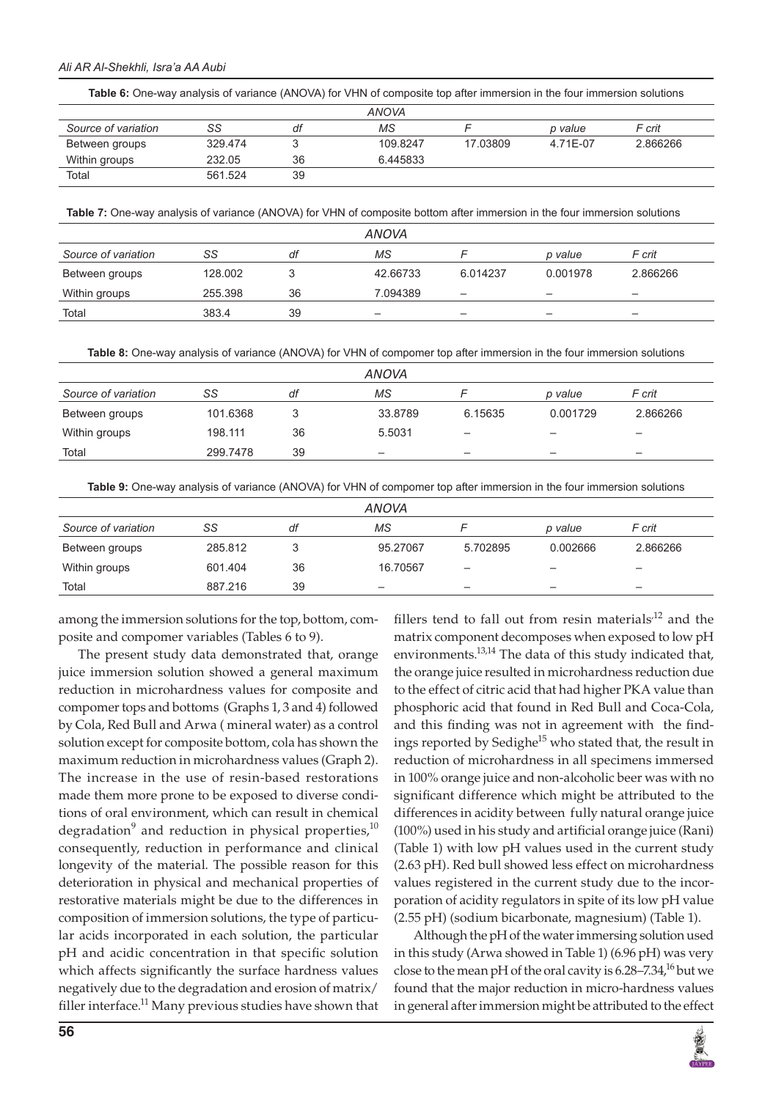#### *Ali AR Al-Shekhli, Isra'a AA Aubi*

| Table 6: One-way analysis of variance (ANOVA) for VHN of composite top after immersion in the four immersion solutions |
|------------------------------------------------------------------------------------------------------------------------|
|------------------------------------------------------------------------------------------------------------------------|

|                     |         |    | <b>ANOVA</b> |          |          |          |
|---------------------|---------|----|--------------|----------|----------|----------|
| Source of variation | SS      | at | ΜS           |          | p value  | F crit   |
| Between groups      | 329.474 |    | 109.8247     | 17.03809 | 4.71F-07 | 2.866266 |
| Within groups       | 232.05  | 36 | 6.445833     |          |          |          |
| Total               | 561.524 | 39 |              |          |          |          |

**Table 7:** One-way analysis of variance (ANOVA) for VHN of composite bottom after immersion in the four immersion solutions

|                     |         |    | <b>ANOVA</b>                            |          |          |          |
|---------------------|---------|----|-----------------------------------------|----------|----------|----------|
| Source of variation | SS      | df | МS                                      |          | p value  | F crit   |
| Between groups      | 128,002 |    | 42.66733                                | 6.014237 | 0.001978 | 2.866266 |
| Within groups       | 255.398 | 36 | 7.094389                                | -        | -        | -        |
| Total               | 383.4   | 39 | $\qquad \qquad \  \  \, -\qquad \qquad$ | -        | -        | -        |

**Table 8:** One-way analysis of variance (ANOVA) for VHN of compomer top after immersion in the four immersion solutions

|          |    | ANOVA                    |                              |                 |                          |  |
|----------|----|--------------------------|------------------------------|-----------------|--------------------------|--|
| SS       | df | ΜS                       |                              | p value         | F crit                   |  |
| 101.6368 |    | 33.8789                  | 6.15635                      | 0.001729        | 2.866266                 |  |
| 198.111  | 36 | 5.5031                   | $\qquad \qquad \blacksquare$ | $\qquad \qquad$ | -                        |  |
| 299.7478 | 39 | $\overline{\phantom{0}}$ |                              |                 | $\overline{\phantom{0}}$ |  |
|          |    |                          |                              |                 |                          |  |

**Table 9:** One-way analysis of variance (ANOVA) for VHN of compomer top after immersion in the four immersion solutions

|                     |         |    | <b>ANOVA</b>             |                              |                          |                          |
|---------------------|---------|----|--------------------------|------------------------------|--------------------------|--------------------------|
| Source of variation | SS      | df | ΜS                       |                              | p value                  | F crit                   |
| Between groups      | 285.812 |    | 95.27067                 | 5.702895                     | 0.002666                 | 2.866266                 |
| Within groups       | 601.404 | 36 | 16.70567                 | $\overline{\phantom{0}}$     | $\overline{\phantom{0}}$ | -                        |
| Total               | 887.216 | 39 | $\overline{\phantom{0}}$ | $\qquad \qquad \blacksquare$ | $\qquad \qquad -$        | $\overline{\phantom{0}}$ |

among the immersion solutions for the top, bottom, composite and compomer variables (Tables 6 to 9).

The present study data demonstrated that, orange juice immersion solution showed a general maximum reduction in microhardness values for composite and compomer tops and bottoms (Graphs 1, 3 and 4) followed by Cola, Red Bull and Arwa ( mineral water) as a control solution except for composite bottom, cola has shown the maximum reduction in microhardness values (Graph 2). The increase in the use of resin-based restorations made them more prone to be exposed to diverse conditions of oral environment, which can result in chemical degradation $^9$  and reduction in physical properties, $^{10}$ consequently, reduction in performance and clinical longevity of the material. The possible reason for this deterioration in physical and mechanical properties of restorative materials might be due to the differences in composition of immersion solutions, the type of particular acids incorporated in each solution, the particular pH and acidic concentration in that specific solution which affects significantly the surface hardness values negatively due to the degradation and erosion of matrix/ filler interface. $^{11}$  Many previous studies have shown that

fillers tend to fall out from resin materials<sup> $12$ </sup> and the matrix component decomposes when exposed to low pH environments.<sup>13,14</sup> The data of this study indicated that, the orange juice resulted in microhardness reduction due to the effect of citric acid that had higher PKA value than phosphoric acid that found in Red Bull and Coca-Cola, and this finding was not in agreement with the findings reported by Sedighe $15$  who stated that, the result in reduction of microhardness in all specimens immersed in 100% orange juice and non-alcoholic beer was with no significant difference which might be attributed to the differences in acidity between fully natural orange juice (100%) used in his study and artificial orange juice (Rani) (Table 1) with low pH values used in the current study (2.63 pH). Red bull showed less effect on microhardness values registered in the current study due to the incorporation of acidity regulators in spite of its low pH value (2.55 pH) (sodium bicarbonate, magnesium) (Table 1).

Although the pH of the water immersing solution used in this study (Arwa showed in Table 1) (6.96 pH) was very close to the mean pH of the oral cavity is  $6.28-7.34<sup>16</sup>$  but we found that the major reduction in micro-hardness values in general after immersion might be attributed to the effect